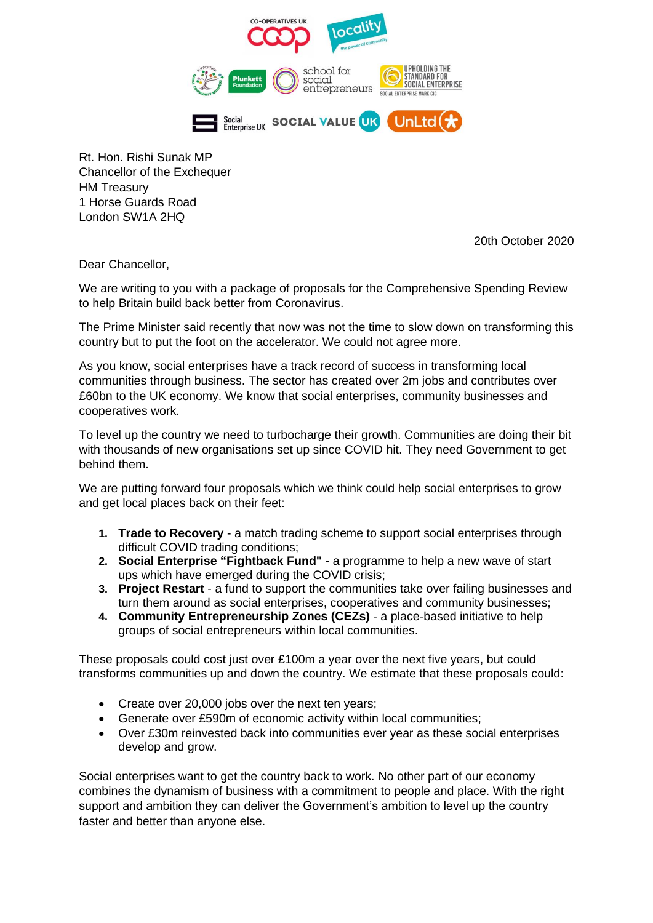

Rt. Hon. Rishi Sunak MP Chancellor of the Exchequer HM Treasury 1 Horse Guards Road London SW1A 2HQ

20th October 2020

Dear Chancellor,

We are writing to you with a package of proposals for the Comprehensive Spending Review to help Britain build back better from Coronavirus.

The Prime Minister said recently that now was not the time to slow down on transforming this country but to put the foot on the accelerator. We could not agree more.

As you know, social enterprises have a track record of success in transforming local communities through business. The sector has created over 2m jobs and contributes over £60bn to the UK economy. We know that social enterprises, community businesses and cooperatives work.

To level up the country we need to turbocharge their growth. Communities are doing their bit with thousands of new organisations set up since COVID hit. They need Government to get behind them.

We are putting forward four proposals which we think could help social enterprises to grow and get local places back on their feet:

- **1. Trade to Recovery** a match trading scheme to support social enterprises through difficult COVID trading conditions;
- **2. Social Enterprise "Fightback Fund"** a programme to help a new wave of start ups which have emerged during the COVID crisis;
- **3. Project Restart** a fund to support the communities take over failing businesses and turn them around as social enterprises, cooperatives and community businesses;
- **4. Community Entrepreneurship Zones (CEZs)**  a place-based initiative to help groups of social entrepreneurs within local communities.

These proposals could cost just over £100m a year over the next five years, but could transforms communities up and down the country. We estimate that these proposals could:

- Create over 20,000 jobs over the next ten years;
- Generate over £590m of economic activity within local communities;
- Over £30m reinvested back into communities ever year as these social enterprises develop and grow.

Social enterprises want to get the country back to work. No other part of our economy combines the dynamism of business with a commitment to people and place. With the right support and ambition they can deliver the Government's ambition to level up the country faster and better than anyone else.